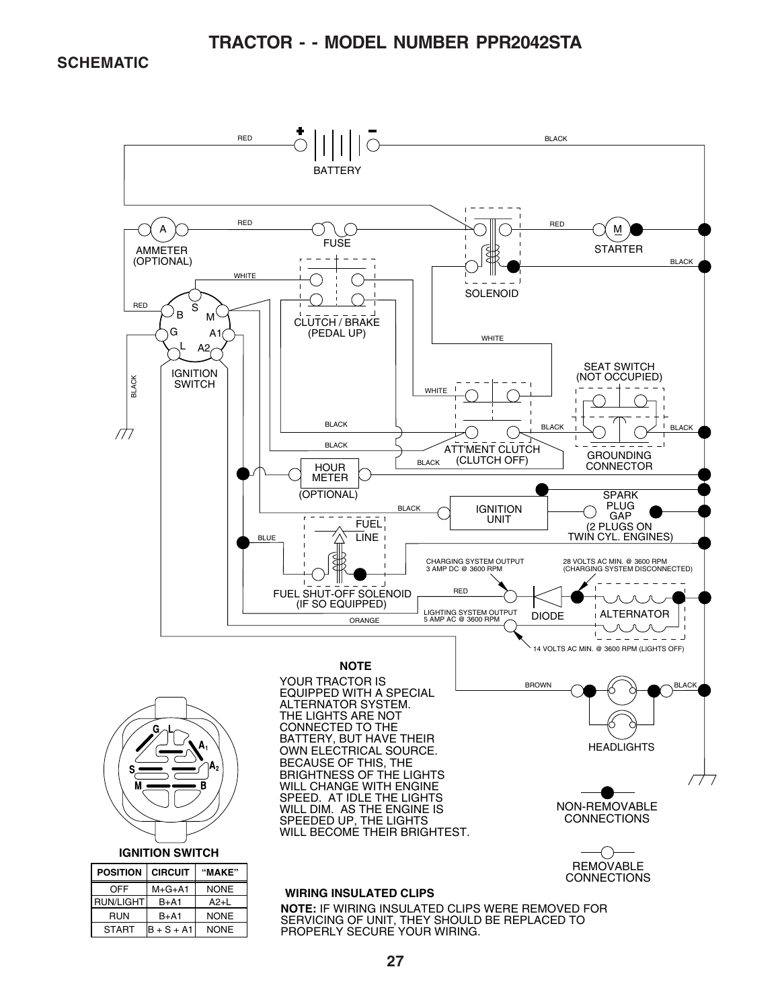#### **TRACTOR - - MODEL NUMBER PPR2042STA**

#### **SCHEMATIC**

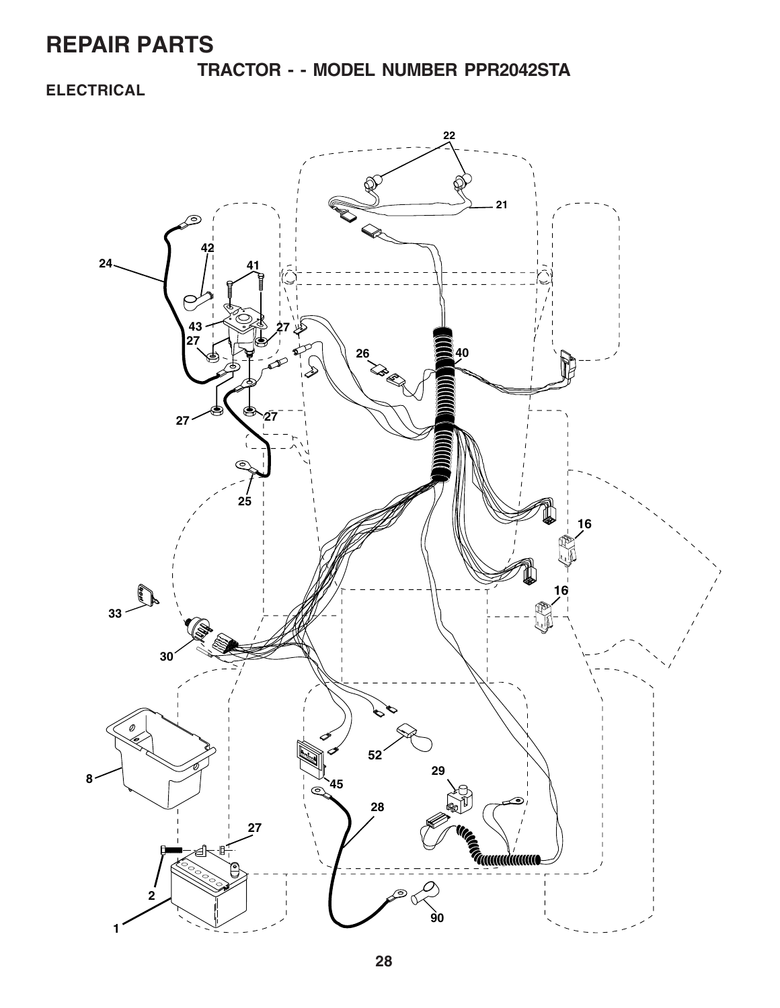**TRACTOR - - MODEL NUMBER PPR2042STA**

### **ELECTRICAL**

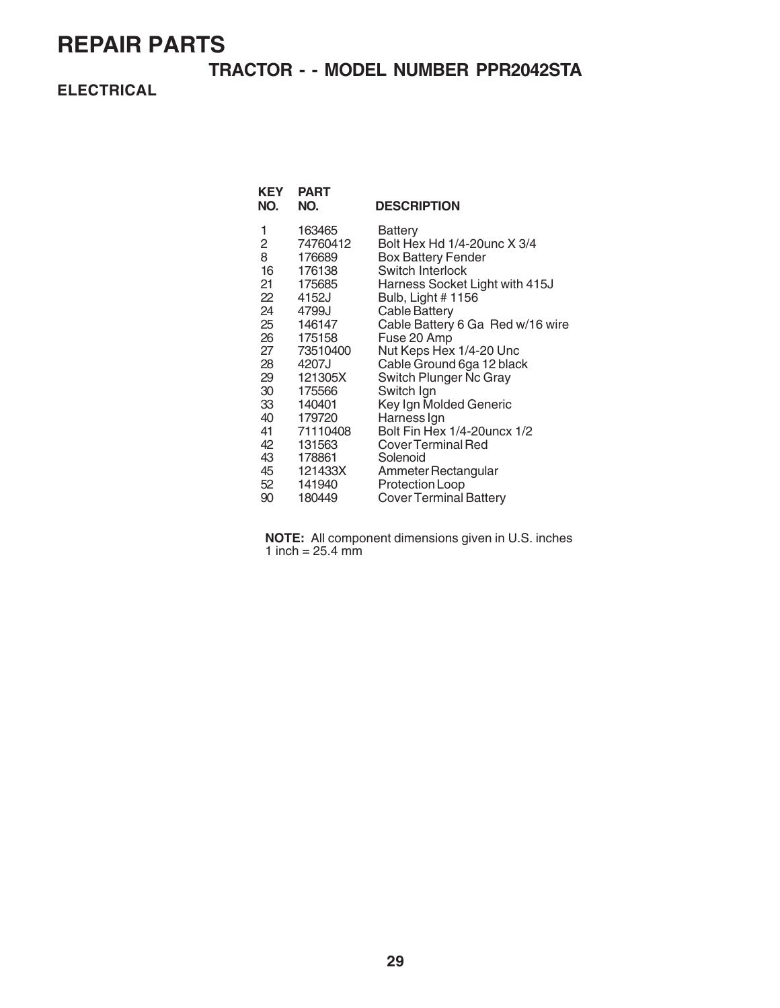### **TRACTOR - - MODEL NUMBER PPR2042STA**

**ELECTRICAL**

| <b>KEY</b><br>NO. | <b>PART</b><br>NO. | <b>DESCRIPTION</b>               |
|-------------------|--------------------|----------------------------------|
| 1                 | 163465             | Battery                          |
| $\overline{2}$    | 74760412           | Bolt Hex Hd 1/4-20unc X 3/4      |
| 8                 | 176689             | <b>Box Battery Fender</b>        |
| 16                | 176138             | Switch Interlock                 |
| 21                | 175685             | Harness Socket Light with 415J   |
| 22                | 4152J              | Bulb, Light # 1156               |
| 24                | 4799J              | <b>Cable Battery</b>             |
| 25                | 146147             | Cable Battery 6 Ga Red w/16 wire |
|                   | 26 175158          | Fuse 20 Amp                      |
| 27                | 73510400           | Nut Keps Hex 1/4-20 Unc          |
| 28                | 4207J              | Cable Ground 6ga 12 black        |
| 29                | 121305X            | Switch Plunger Nc Gray           |
| 30                | 175566             | Switch Ign                       |
| 33                | 140401             | Key Ign Molded Generic           |
| 40                | 179720             | Harness Ign                      |
| 41                | 71110408           | Bolt Fin Hex 1/4-20uncx 1/2      |
| 42                | 131563             | <b>Cover Terminal Red</b>        |
| 43                | 178861             | Solenoid                         |
| 45                | 121433X            | Ammeter Rectangular              |
| 52                | 141940             | Protection Loop                  |
| 90                | 180449             | <b>Cover Terminal Battery</b>    |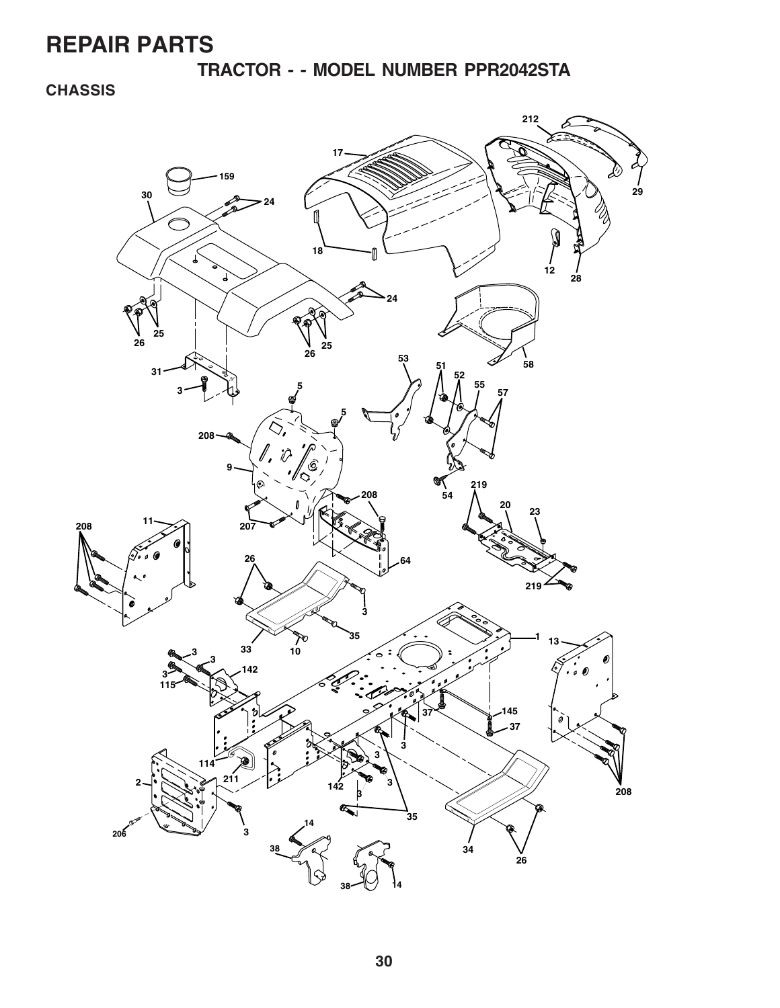**TRACTOR - - MODEL NUMBER PPR2042STA**

**CHASSIS**

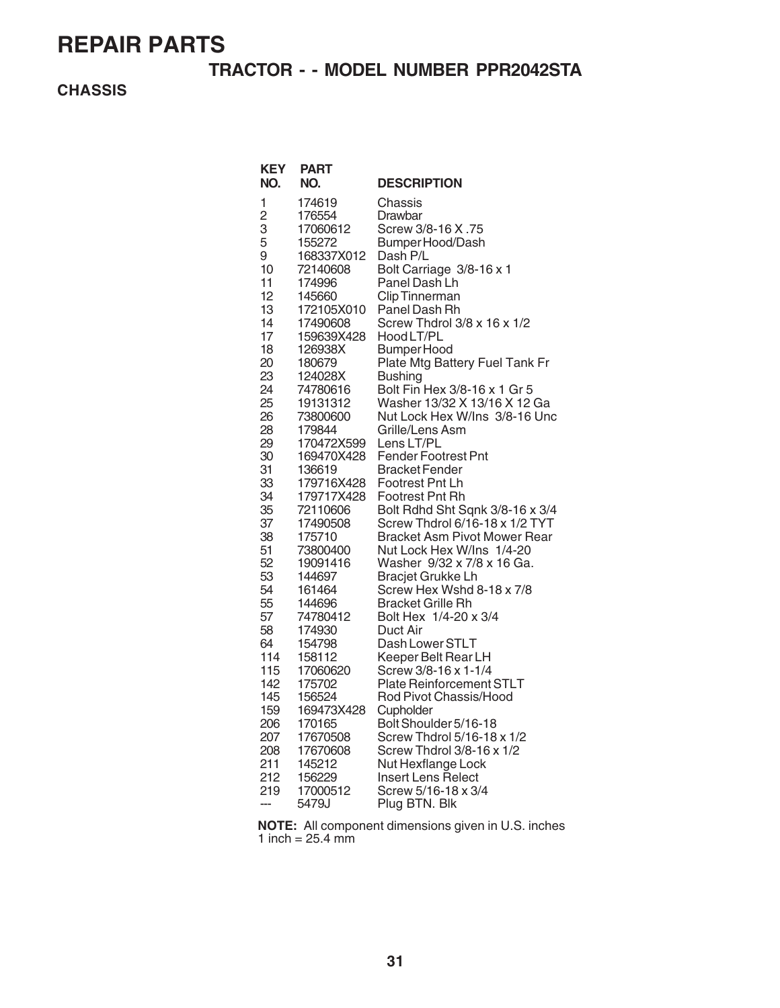### **TRACTOR - - MODEL NUMBER PPR2042STA**

**CHASSIS**

| KEY<br>NO.                                                                                                                                                                         | PART<br>NO.                                                                                                                                                                                                                                                                                                                                      | <b>DESCRIPTION</b>                                                                                                                                                                                                                                                                                                                                                                                                                                                                                                                                                                                                                                                                                          |
|------------------------------------------------------------------------------------------------------------------------------------------------------------------------------------|--------------------------------------------------------------------------------------------------------------------------------------------------------------------------------------------------------------------------------------------------------------------------------------------------------------------------------------------------|-------------------------------------------------------------------------------------------------------------------------------------------------------------------------------------------------------------------------------------------------------------------------------------------------------------------------------------------------------------------------------------------------------------------------------------------------------------------------------------------------------------------------------------------------------------------------------------------------------------------------------------------------------------------------------------------------------------|
| 1<br>$\overline{c}$<br>3<br>5<br>9<br>10<br>11<br>12<br>13<br>14<br>17<br>18<br>20<br>23<br>24<br>25<br>26<br>28<br>29<br>30<br>31<br>33<br>34<br>35<br>37<br>38<br>51<br>52<br>53 | 174619<br>176554<br>17060612<br>155272<br>168337X012<br>72140608<br>174996<br>145660<br>172105X010<br>17490608<br>159639X428<br>126938X<br>180679<br>124028X<br>74780616<br>19131312<br>73800600<br>179844<br>170472X599<br>169470X428<br>136619<br>179716X428<br>179717X428<br>72110606<br>17490508<br>175710<br>73800400<br>19091416<br>144697 | Chassis<br>Drawbar<br>Screw 3/8-16 X .75<br>Bumper Hood/Dash<br>Dash P/L<br>Bolt Carriage 3/8-16 x 1<br>Panel Dash Lh<br><b>Clip Tinnerman</b><br>Panel Dash Rh<br>Screw Thdrol 3/8 x 16 x 1/2<br>Hood LT/PL<br>Bumper Hood<br>Plate Mtg Battery Fuel Tank Fr<br><b>Bushing</b><br>Bolt Fin Hex 3/8-16 x 1 Gr 5<br>Washer 13/32 X 13/16 X 12 Ga<br>Nut Lock Hex W/Ins  3/8-16 Unc<br>Grille/Lens Asm<br>Lens LT/PL<br><b>Fender Footrest Pnt</b><br>Bracket Fender<br>Footrest Pnt Lh<br>Footrest Pnt Rh<br>Bolt Rdhd Sht Sqnk 3/8-16 x 3/4<br>Screw Thdrol 6/16-18 x 1/2 TYT<br><b>Bracket Asm Pivot Mower Rear</b><br>Nut Lock Hex W/Ins 1/4-20<br>Washer 9/32 x 7/8 x 16 Ga.<br><b>Bracjet Grukke Lh</b> |
|                                                                                                                                                                                    |                                                                                                                                                                                                                                                                                                                                                  |                                                                                                                                                                                                                                                                                                                                                                                                                                                                                                                                                                                                                                                                                                             |
|                                                                                                                                                                                    |                                                                                                                                                                                                                                                                                                                                                  |                                                                                                                                                                                                                                                                                                                                                                                                                                                                                                                                                                                                                                                                                                             |
|                                                                                                                                                                                    |                                                                                                                                                                                                                                                                                                                                                  |                                                                                                                                                                                                                                                                                                                                                                                                                                                                                                                                                                                                                                                                                                             |
|                                                                                                                                                                                    |                                                                                                                                                                                                                                                                                                                                                  |                                                                                                                                                                                                                                                                                                                                                                                                                                                                                                                                                                                                                                                                                                             |
|                                                                                                                                                                                    |                                                                                                                                                                                                                                                                                                                                                  |                                                                                                                                                                                                                                                                                                                                                                                                                                                                                                                                                                                                                                                                                                             |
|                                                                                                                                                                                    |                                                                                                                                                                                                                                                                                                                                                  |                                                                                                                                                                                                                                                                                                                                                                                                                                                                                                                                                                                                                                                                                                             |
|                                                                                                                                                                                    |                                                                                                                                                                                                                                                                                                                                                  |                                                                                                                                                                                                                                                                                                                                                                                                                                                                                                                                                                                                                                                                                                             |
|                                                                                                                                                                                    |                                                                                                                                                                                                                                                                                                                                                  |                                                                                                                                                                                                                                                                                                                                                                                                                                                                                                                                                                                                                                                                                                             |
|                                                                                                                                                                                    |                                                                                                                                                                                                                                                                                                                                                  |                                                                                                                                                                                                                                                                                                                                                                                                                                                                                                                                                                                                                                                                                                             |
|                                                                                                                                                                                    |                                                                                                                                                                                                                                                                                                                                                  |                                                                                                                                                                                                                                                                                                                                                                                                                                                                                                                                                                                                                                                                                                             |
| 54                                                                                                                                                                                 | 161464                                                                                                                                                                                                                                                                                                                                           | Screw Hex Wshd 8-18 x 7/8                                                                                                                                                                                                                                                                                                                                                                                                                                                                                                                                                                                                                                                                                   |
| 55                                                                                                                                                                                 | 144696                                                                                                                                                                                                                                                                                                                                           | <b>Bracket Grille Rh</b>                                                                                                                                                                                                                                                                                                                                                                                                                                                                                                                                                                                                                                                                                    |
| 57                                                                                                                                                                                 | 74780412                                                                                                                                                                                                                                                                                                                                         | Bolt Hex 1/4-20 x 3/4                                                                                                                                                                                                                                                                                                                                                                                                                                                                                                                                                                                                                                                                                       |
| 58                                                                                                                                                                                 | 174930                                                                                                                                                                                                                                                                                                                                           | Duct Air                                                                                                                                                                                                                                                                                                                                                                                                                                                                                                                                                                                                                                                                                                    |
| 64<br>114                                                                                                                                                                          | 154798<br>158112                                                                                                                                                                                                                                                                                                                                 | Dash Lower STLT<br>Keeper Belt Rear LH                                                                                                                                                                                                                                                                                                                                                                                                                                                                                                                                                                                                                                                                      |
| 115                                                                                                                                                                                | 17060620                                                                                                                                                                                                                                                                                                                                         | Screw 3/8-16 x 1-1/4                                                                                                                                                                                                                                                                                                                                                                                                                                                                                                                                                                                                                                                                                        |
| 142                                                                                                                                                                                | 175702                                                                                                                                                                                                                                                                                                                                           | <b>Plate Reinforcement STLT</b>                                                                                                                                                                                                                                                                                                                                                                                                                                                                                                                                                                                                                                                                             |
| 145                                                                                                                                                                                | 156524                                                                                                                                                                                                                                                                                                                                           | Rod Pivot Chassis/Hood                                                                                                                                                                                                                                                                                                                                                                                                                                                                                                                                                                                                                                                                                      |
| 159<br>206                                                                                                                                                                         | 169473X428<br>170165                                                                                                                                                                                                                                                                                                                             | Cupholder<br>Bolt Shoulder 5/16-18                                                                                                                                                                                                                                                                                                                                                                                                                                                                                                                                                                                                                                                                          |
| 207                                                                                                                                                                                | 17670508                                                                                                                                                                                                                                                                                                                                         | Screw Thdrol 5/16-18 x 1/2                                                                                                                                                                                                                                                                                                                                                                                                                                                                                                                                                                                                                                                                                  |
| 208                                                                                                                                                                                | 17670608                                                                                                                                                                                                                                                                                                                                         | Screw Thdrol 3/8-16 x 1/2                                                                                                                                                                                                                                                                                                                                                                                                                                                                                                                                                                                                                                                                                   |
| 211                                                                                                                                                                                | 145212                                                                                                                                                                                                                                                                                                                                           | Nut Hexflange Lock                                                                                                                                                                                                                                                                                                                                                                                                                                                                                                                                                                                                                                                                                          |
| 212<br>219                                                                                                                                                                         | 156229<br>17000512                                                                                                                                                                                                                                                                                                                               | Insert Lens Relect<br>Screw 5/16-18 x 3/4                                                                                                                                                                                                                                                                                                                                                                                                                                                                                                                                                                                                                                                                   |
|                                                                                                                                                                                    | 5479J                                                                                                                                                                                                                                                                                                                                            | Plug BTN. Blk                                                                                                                                                                                                                                                                                                                                                                                                                                                                                                                                                                                                                                                                                               |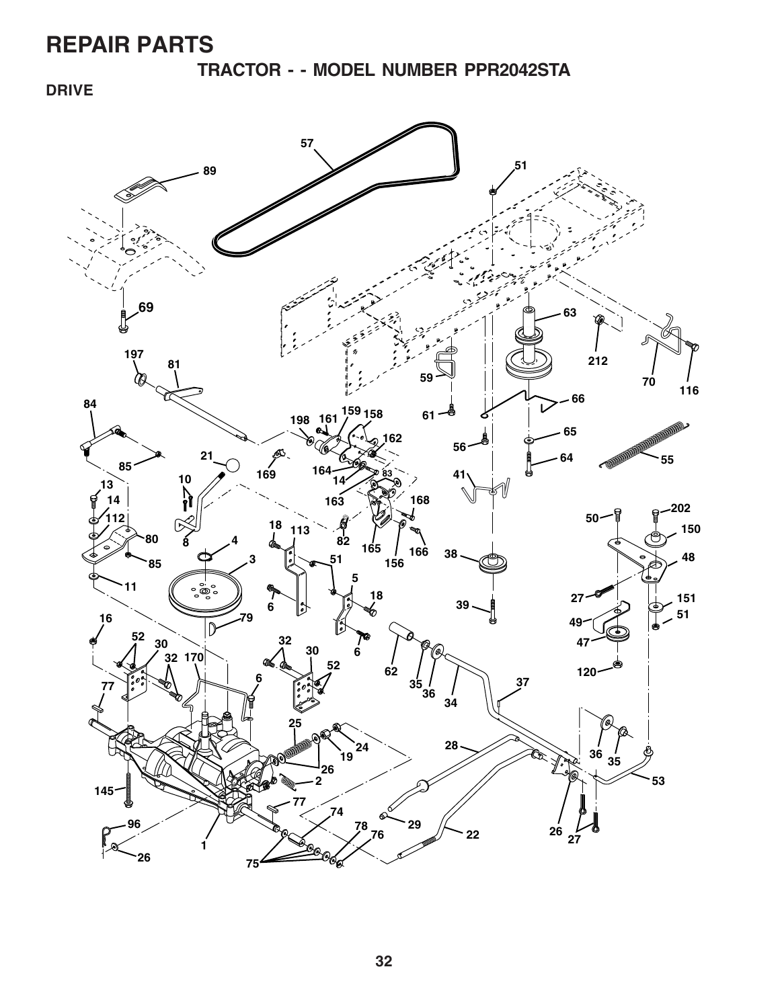**TRACTOR - - MODEL NUMBER PPR2042STA**

**DRIVE**

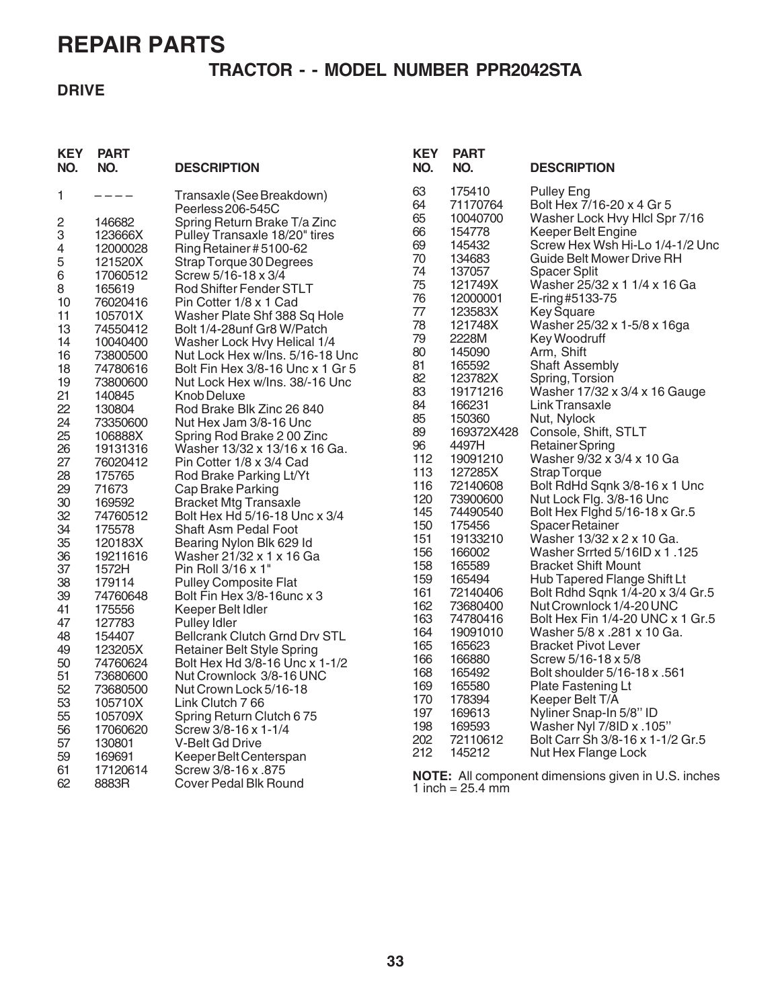### **TRACTOR - - MODEL NUMBER PPR2042STA**

### **DRIVE**

| <b>KEY</b><br>NO. | <b>PART</b><br>NO. | <b>DESCRIPTION</b>                                            | <b>KEY</b><br>NO. | <b>PART</b><br>NO. | <b>DESCRIPTION</b>                                         |
|-------------------|--------------------|---------------------------------------------------------------|-------------------|--------------------|------------------------------------------------------------|
| 1                 | $---$              | Transaxle (See Breakdown)<br>Peerless 206-545C                | 63<br>64          | 175410<br>71170764 | <b>Pulley Eng</b><br>Bolt Hex 7/16-20 x 4 Gr 5             |
| $\overline{c}$    | 146682             |                                                               | 65                | 10040700           | Washer Lock Hvy Hicl Spr 7/16                              |
| 3                 | 123666X            | Spring Return Brake T/a Zinc<br>Pulley Transaxle 18/20" tires | 66                | 154778             | Keeper Belt Engine                                         |
|                   |                    |                                                               | 69                | 145432             | Screw Hex Wsh Hi-Lo 1/4-1/2 Unc                            |
| 4<br>5            | 12000028           | Ring Retainer #5100-62                                        | 70                | 134683             | Guide Belt Mower Drive RH                                  |
|                   | 121520X            | Strap Torque 30 Degrees                                       | 74                | 137057             | <b>Spacer Split</b>                                        |
| 6                 | 17060512           | Screw 5/16-18 x 3/4                                           | 75                | 121749X            | Washer 25/32 x 1 1/4 x 16 Ga                               |
| 8                 | 165619             | Rod Shifter Fender STLT                                       | 76                | 12000001           | E-ring#5133-75                                             |
| 10                | 76020416           | Pin Cotter 1/8 x 1 Cad                                        | 77                | 123583X            | <b>Key Square</b>                                          |
| 11                | 105701X            | Washer Plate Shf 388 Sq Hole                                  | 78                | 121748X            | Washer 25/32 x 1-5/8 x 16ga                                |
| 13                | 74550412           | Bolt 1/4-28unf Gr8 W/Patch                                    | 79                | 2228M              | Key Woodruff                                               |
| 14                | 10040400           | Washer Lock Hvy Helical 1/4                                   | 80                | 145090             | Arm, Shift                                                 |
| 16                | 73800500           | Nut Lock Hex w/Ins. 5/16-18 Unc                               | 81                | 165592             | <b>Shaft Assembly</b>                                      |
| 18                | 74780616           | Bolt Fin Hex 3/8-16 Unc x 1 Gr 5                              | 82                | 123782X            | Spring, Torsion                                            |
| 19                | 73800600           | Nut Lock Hex w/Ins. 38/-16 Unc                                | 83                | 19171216           | Washer 17/32 x 3/4 x 16 Gauge                              |
| 21                | 140845             | Knob Deluxe                                                   | 84                | 166231             | Link Transaxle                                             |
| 22<br>24          | 130804             | Rod Brake Blk Zinc 26 840                                     | 85                | 150360             | Nut, Nylock                                                |
| 25                | 73350600           | Nut Hex Jam 3/8-16 Unc                                        | 89                | 169372X428         | Console, Shift, STLT                                       |
| 26                | 106888X            | Spring Rod Brake 200 Zinc<br>Washer 13/32 x 13/16 x 16 Ga.    | 96                | 4497H              | <b>Retainer Spring</b>                                     |
| 27                | 19131316           |                                                               | 112               | 19091210           | Washer 9/32 x 3/4 x 10 Ga                                  |
| 28                | 76020412<br>175765 | Pin Cotter 1/8 x 3/4 Cad                                      | 113               | 127285X            | <b>Strap Torque</b>                                        |
| 29                |                    | Rod Brake Parking Lt/Yt                                       | 116               | 72140608           | Bolt RdHd Sqnk 3/8-16 x 1 Unc                              |
| 30                | 71673<br>169592    | Cap Brake Parking                                             | 120               | 73900600           | Nut Lock Flg. 3/8-16 Unc                                   |
| 32                | 74760512           | <b>Bracket Mtg Transaxle</b><br>Bolt Hex Hd 5/16-18 Unc x 3/4 | 145               | 74490540           | Bolt Hex Fighd 5/16-18 x Gr.5                              |
| 34                | 175578             | Shaft Asm Pedal Foot                                          | 150               | 175456             | Spacer Retainer                                            |
| 35                | 120183X            | Bearing Nylon Blk 629 ld                                      | 151               | 19133210           | Washer 13/32 x 2 x 10 Ga.                                  |
| 36                | 19211616           | Washer 21/32 x 1 x 16 Ga                                      | 156               | 166002             | Washer Srrted 5/16ID x 1.125                               |
| 37                | 1572H              | Pin Roll 3/16 x 1"                                            | 158               | 165589             | <b>Bracket Shift Mount</b>                                 |
| 38                | 179114             | <b>Pulley Composite Flat</b>                                  | 159               | 165494             | Hub Tapered Flange Shift Lt                                |
| 39                | 74760648           | Bolt Fin Hex 3/8-16unc x 3                                    | 161               | 72140406           | Bolt Rdhd Sqnk 1/4-20 x 3/4 Gr.5                           |
| 41                | 175556             | Keeper Belt Idler                                             | 162               | 73680400           | Nut Crownlock 1/4-20 UNC                                   |
| 47                | 127783             | <b>Pulley Idler</b>                                           | 163               | 74780416           | Bolt Hex Fin 1/4-20 UNC x 1 Gr.5                           |
| 48                | 154407             | <b>Bellcrank Clutch Grnd Drv STL</b>                          | 164               | 19091010           | Washer 5/8 x .281 x 10 Ga.                                 |
| 49                | 123205X            | <b>Retainer Belt Style Spring</b>                             | 165               | 165623             | <b>Bracket Pivot Lever</b>                                 |
| 50                | 74760624           | Bolt Hex Hd 3/8-16 Unc x 1-1/2                                | 166               | 166880             | Screw 5/16-18 x 5/8                                        |
| 51                | 73680600           | Nut Crownlock 3/8-16 UNC                                      | 168               | 165492             | Bolt shoulder 5/16-18 x .561                               |
| 52                | 73680500           | Nut Crown Lock 5/16-18                                        | 169               | 165580             | Plate Fastening Lt                                         |
| 53                | 105710X            | Link Clutch 766                                               | 170               | 178394             | Keeper Belt T/A                                            |
| 55                |                    |                                                               | 197               | 169613             | Nyliner Snap-In 5/8" ID                                    |
|                   | 105709X            | Spring Return Clutch 675                                      | 198               | 169593             | Washer Nyl 7/8ID x .105"                                   |
| 56                | 17060620<br>130801 | Screw 3/8-16 x 1-1/4<br>V-Belt Gd Drive                       | 202               | 72110612           | Bolt Carr Sh 3/8-16 x 1-1/2 Gr.5                           |
| 57                |                    |                                                               | 212               | 145212             | Nut Hex Flange Lock                                        |
| 59                | 169691             | Keeper Belt Centerspan                                        |                   |                    |                                                            |
| 61<br>62          | 17120614           | Screw 3/8-16 x .875<br><b>Cover Pedal Blk Round</b>           |                   |                    | <b>NOTE:</b> All component dimensions given in U.S. inches |
|                   | 8883R              |                                                               |                   | 1 inch = $25.4$ mm |                                                            |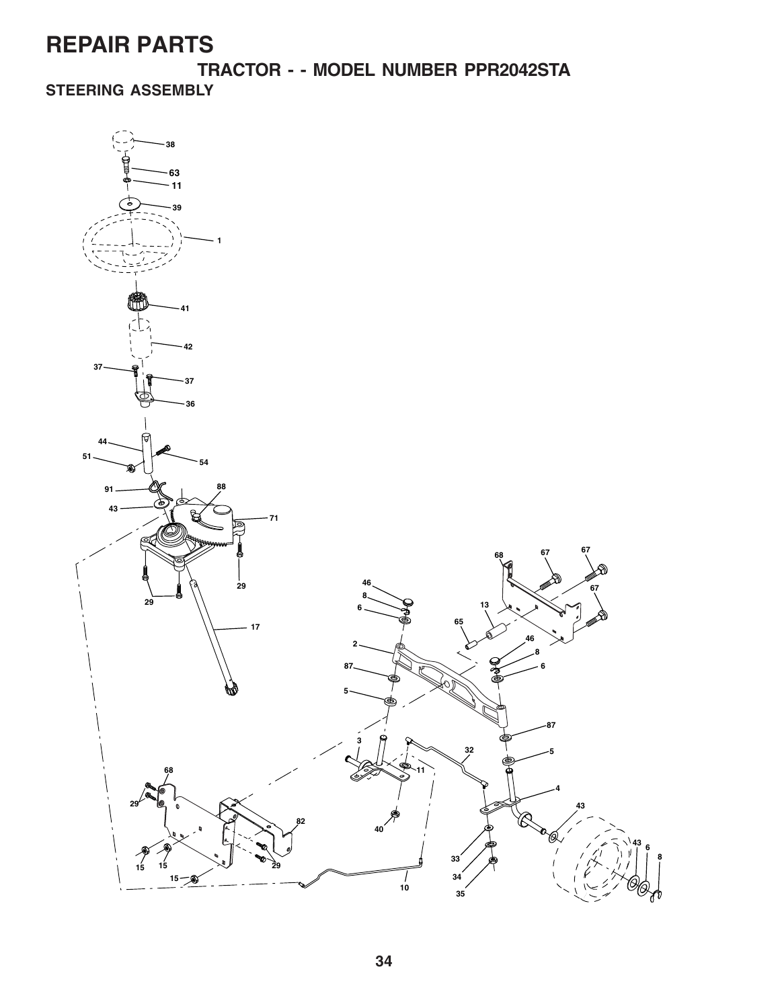**TRACTOR - - MODEL NUMBER PPR2042STA STEERING ASSEMBLY**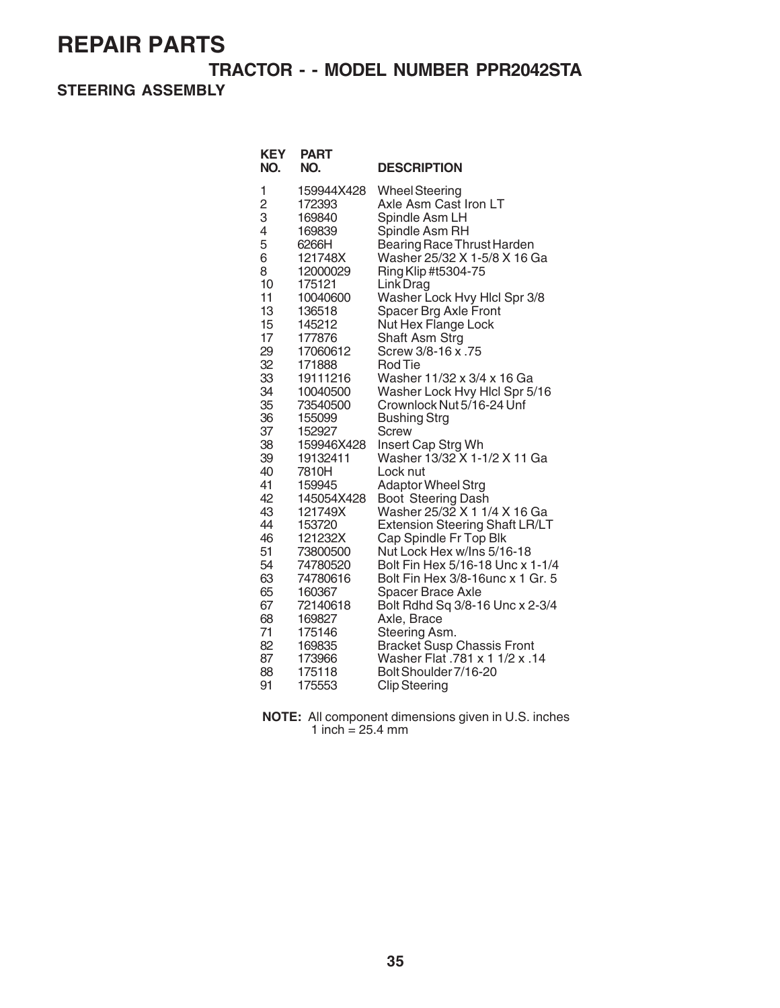**TRACTOR - - MODEL NUMBER PPR2042STA**

**STEERING ASSEMBLY**

| <b>KEY</b><br>NO.                                                                                                                                                                                                                      | <b>PART</b><br>NO.                                                                                                                                                                                                                                                                                                                                                                                                          | <b>DESCRIPTION</b>                                                                                                                                                                                                                                                                                                                                                                                                                                                                                                                                                                                                                                                                                                                                                                                                                                                                                                                                                                                                                   |
|----------------------------------------------------------------------------------------------------------------------------------------------------------------------------------------------------------------------------------------|-----------------------------------------------------------------------------------------------------------------------------------------------------------------------------------------------------------------------------------------------------------------------------------------------------------------------------------------------------------------------------------------------------------------------------|--------------------------------------------------------------------------------------------------------------------------------------------------------------------------------------------------------------------------------------------------------------------------------------------------------------------------------------------------------------------------------------------------------------------------------------------------------------------------------------------------------------------------------------------------------------------------------------------------------------------------------------------------------------------------------------------------------------------------------------------------------------------------------------------------------------------------------------------------------------------------------------------------------------------------------------------------------------------------------------------------------------------------------------|
| 1<br>$\overline{c}$<br>3<br>4<br>5<br>6<br>8<br>10<br>11<br>13<br>15<br>17<br>29<br>32<br>33<br>34<br>35<br>36<br>37<br>38<br>39<br>40<br>41<br>42<br>43<br>44<br>46<br>51<br>54<br>63<br>65<br>67<br>68<br>71<br>82<br>87<br>88<br>91 | 159944X428<br>172393<br>169840<br>169839<br>6266H<br>121748X<br>12000029<br>175121<br>10040600<br>136518<br>145212<br>177876<br>17060612<br>171888<br>19111216<br>10040500<br>73540500<br>155099<br>152927<br>159946X428<br>19132411<br>7810H<br>159945<br>145054X428<br>121749X<br>153720<br>121232X<br>73800500<br>74780520<br>74780616<br>160367<br>72140618<br>169827<br>175146<br>169835<br>173966<br>175118<br>175553 | <b>Wheel Steering</b><br>Axle Asm Cast Iron LT<br>Spindle Asm LH<br>Spindle Asm RH<br><b>Bearing Race Thrust Harden</b><br>Washer 25/32 X 1-5/8 X 16 Ga<br>Ring Klip #t5304-75<br>Link Drag<br>Washer Lock Hvy Hlcl Spr 3/8<br>Spacer Brg Axle Front<br>Nut Hex Flange Lock<br>Shaft Asm Strg<br>Screw 3/8-16 x .75<br><b>Rod Tie</b><br>Washer 11/32 x 3/4 x 16 Ga<br>Washer Lock Hvy Hlcl Spr 5/16<br>Crownlock Nut 5/16-24 Unf<br><b>Bushing Strg</b><br><b>Screw</b><br>Insert Cap Strg Wh<br>Washer 13/32 X 1-1/2 X 11 Ga<br>Lock nut<br><b>Adaptor Wheel Strg</b><br><b>Boot Steering Dash</b><br>Washer 25/32 X 1 1/4 X 16 Ga<br><b>Extension Steering Shaft LR/LT</b><br>Cap Spindle Fr Top Blk<br>Nut Lock Hex w/Ins 5/16-18<br>Bolt Fin Hex 5/16-18 Unc x 1-1/4<br>Bolt Fin Hex 3/8-16unc x 1 Gr. 5<br><b>Spacer Brace Axle</b><br>Bolt Rdhd Sq 3/8-16 Unc x 2-3/4<br>Axle, Brace<br>Steering Asm.<br><b>Bracket Susp Chassis Front</b><br>Washer Flat .781 x 1 1/2 x .14<br>Bolt Shoulder 7/16-20<br><b>Clip Steering</b> |
|                                                                                                                                                                                                                                        |                                                                                                                                                                                                                                                                                                                                                                                                                             |                                                                                                                                                                                                                                                                                                                                                                                                                                                                                                                                                                                                                                                                                                                                                                                                                                                                                                                                                                                                                                      |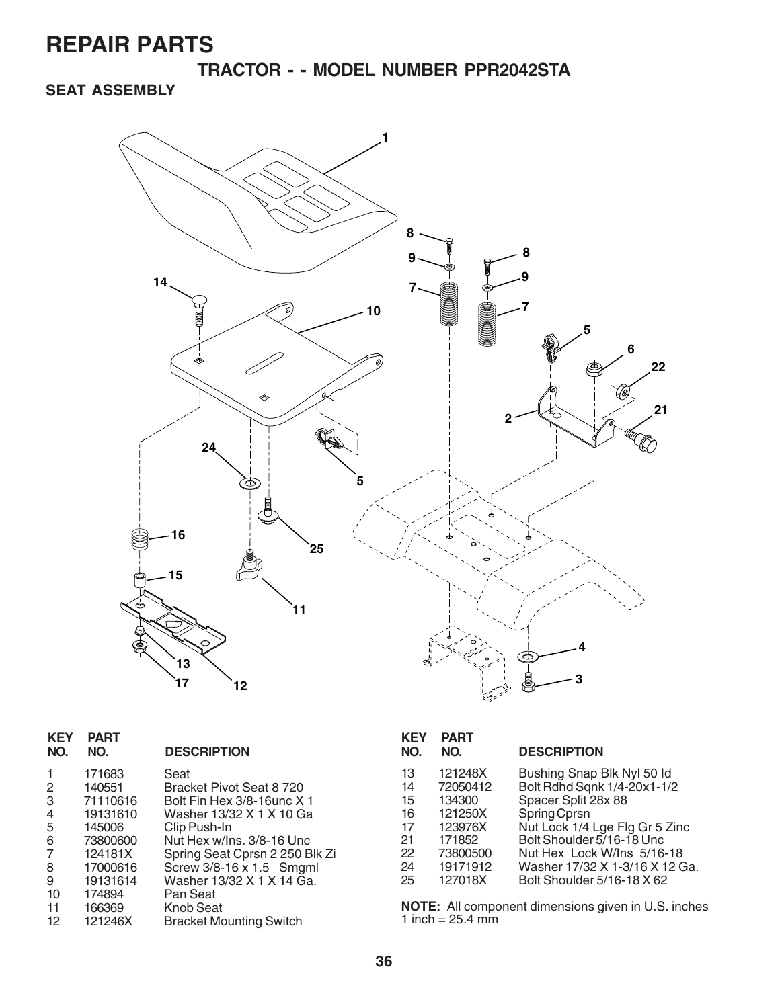**TRACTOR - - MODEL NUMBER PPR2042STA**

### **SEAT ASSEMBLY**



| <b>KEY</b><br>NO. | <b>PART</b><br>NO. | <b>DESCRIPTION</b>             |
|-------------------|--------------------|--------------------------------|
|                   | 171683             | Seat                           |
| 2                 | 140551             | Bracket Pivot Seat 8 720       |
| 3                 | 71110616           | Bolt Fin Hex 3/8-16unc X 1     |
| 4                 | 19131610           | Washer 13/32 X 1 X 10 Ga       |
| 5                 | 145006             | Clip Push-In                   |
| 6                 | 73800600           | Nut Hex w/Ins. 3/8-16 Unc      |
| 7                 | 124181X            | Spring Seat Cprsn 2 250 Blk Zi |
| 8                 | 17000616           | Screw 3/8-16 x 1.5 Smgml       |
| 9                 | 19131614           | Washer 13/32 X 1 X 14 Ga.      |
| 10                | 174894             | Pan Seat                       |
| 11                | 166369             | Knob Seat                      |
| 12                | 121246X            | <b>Bracket Mounting Switch</b> |

| <b>KEY</b><br>NO.                            | <b>PART</b><br>NO.                                                                    | <b>DESCRIPTION</b>                                                                                                                                                                                                              |
|----------------------------------------------|---------------------------------------------------------------------------------------|---------------------------------------------------------------------------------------------------------------------------------------------------------------------------------------------------------------------------------|
| 13<br>14<br>15<br>16<br>17<br>21<br>22<br>24 | 121248X<br>72050412<br>134300<br>121250X<br>123976X<br>171852<br>73800500<br>19171912 | Bushing Snap Blk Nyl 50 ld<br>Bolt Rdhd Sqnk 1/4-20x1-1/2<br>Spacer Split 28x 88<br>Spring Cprsn<br>Nut Lock 1/4 Lge Flg Gr 5 Zinc<br>Bolt Shoulder 5/16-18 Unc<br>Nut Hex Lock W/Ins 5/16-18<br>Washer 17/32 X 1-3/16 X 12 Ga. |
| 25                                           | 127018X                                                                               | Bolt Shoulder 5/16-18 X 62                                                                                                                                                                                                      |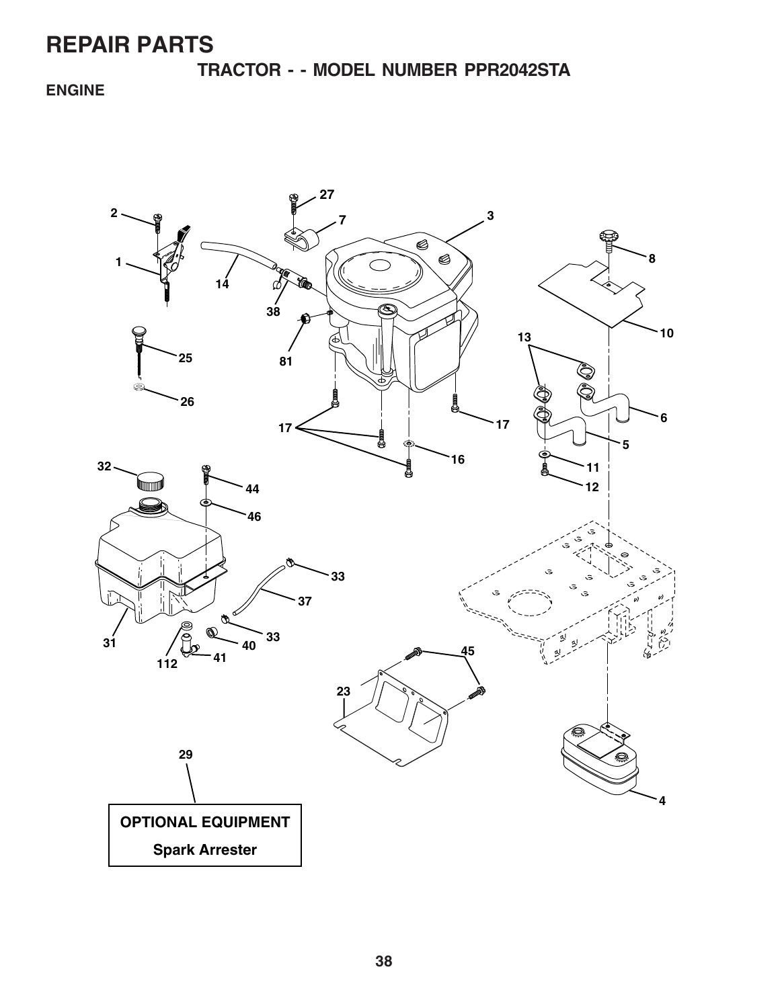**TRACTOR - - MODEL NUMBER PPR2042STA**

### **ENGINE**

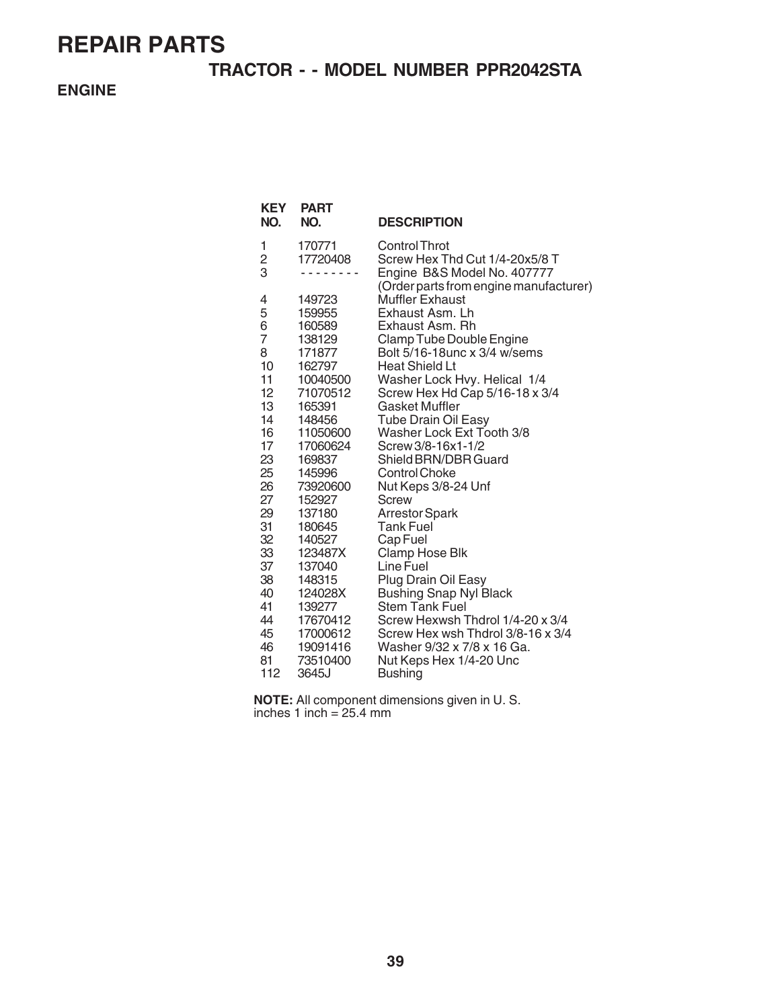### **TRACTOR - - MODEL NUMBER PPR2042STA**

**ENGINE**

| <b>KEY</b><br>NO.  | <b>PART</b><br>NO. | <b>DESCRIPTION</b>                                                                                                       |
|--------------------|--------------------|--------------------------------------------------------------------------------------------------------------------------|
| 1<br>$\frac{2}{3}$ | 170771<br>17720408 | Control Throt<br>Screw Hex Thd Cut 1/4-20x5/8 T<br>Engine B&S Model No. 407777<br>(Order parts from engine manufacturer) |
| 4                  | 149723             | <b>Muffler Exhaust</b>                                                                                                   |
| 5                  | 159955             | Exhaust Asm. Lh                                                                                                          |
| 6                  | 160589             | Exhaust Asm. Rh                                                                                                          |
| $\overline{7}$     | 138129             | Clamp Tube Double Engine                                                                                                 |
| 8                  | 171877             | Bolt 5/16-18unc x 3/4 w/sems                                                                                             |
| 10                 | 162797             | <b>Heat Shield Lt</b>                                                                                                    |
| 11                 | 10040500           | Washer Lock Hvy. Helical 1/4                                                                                             |
| 12 <sup>°</sup>    | 71070512           | Screw Hex Hd Cap 5/16-18 x 3/4                                                                                           |
| 13                 | 165391             | Gasket Muffler                                                                                                           |
| 14                 | 148456             | <b>Tube Drain Oil Easy</b>                                                                                               |
| 16                 | 11050600           | Washer Lock Ext Tooth 3/8                                                                                                |
| 17                 | 17060624           | Screw 3/8-16x1-1/2                                                                                                       |
| 23                 | 169837             | Shield BRN/DBR Guard                                                                                                     |
| 25                 | 145996             | <b>Control Choke</b>                                                                                                     |
| 26                 | 73920600           | Nut Keps 3/8-24 Unf                                                                                                      |
| 27                 | 152927             | Screw                                                                                                                    |
| 29                 | 137180             | <b>Arrestor Spark</b>                                                                                                    |
| 31                 | 180645             | <b>Tank Fuel</b>                                                                                                         |
| 32                 | 140527             | Cap Fuel                                                                                                                 |
| 33                 | 123487X            | Clamp Hose Blk                                                                                                           |
| 37                 | 137040             | Line Fuel                                                                                                                |
| 38                 | 148315             | Plug Drain Oil Easy                                                                                                      |
| 40                 | 124028X            | <b>Bushing Snap Nyl Black</b>                                                                                            |
| 41                 | 139277             | <b>Stem Tank Fuel</b>                                                                                                    |
| 44                 | 17670412           | Screw Hexwsh Thdrol 1/4-20 x 3/4                                                                                         |
| 45                 | 17000612           | Screw Hex wsh Thdrol 3/8-16 x 3/4                                                                                        |
| 46                 | 19091416           | Washer 9/32 x 7/8 x 16 Ga.                                                                                               |
| 81                 | 73510400           | Nut Keps Hex 1/4-20 Unc                                                                                                  |
| 112                | 3645J              | <b>Bushing</b>                                                                                                           |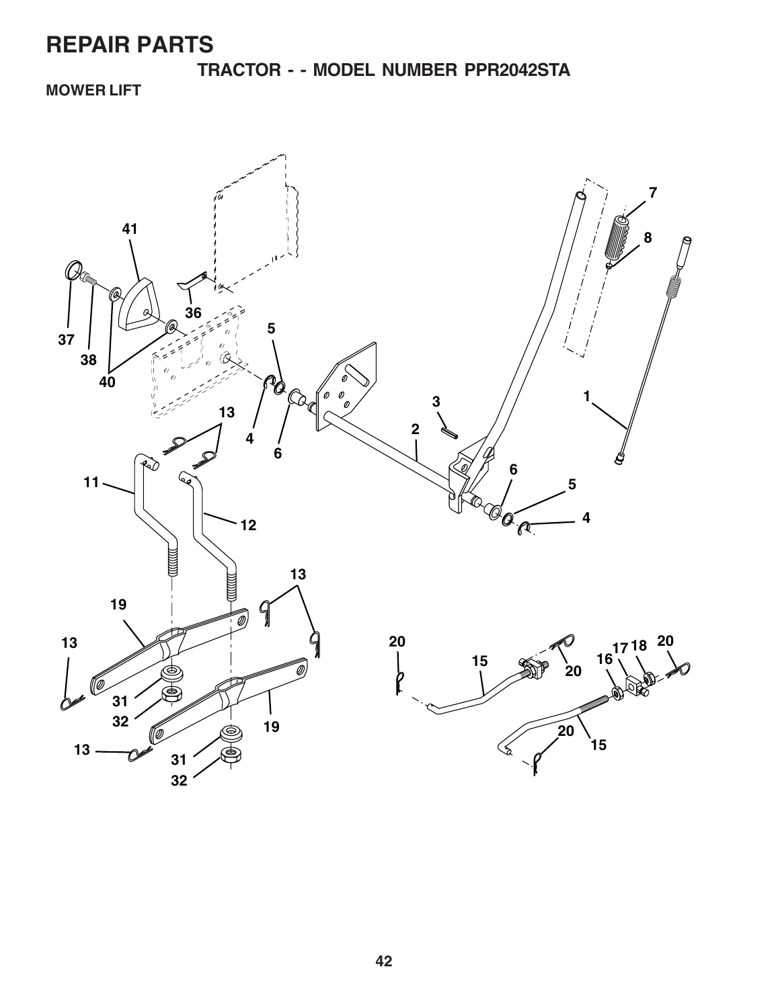**TRACTOR - - MODEL NUMBER PPR2042STA**

### **MOWER LIFT**

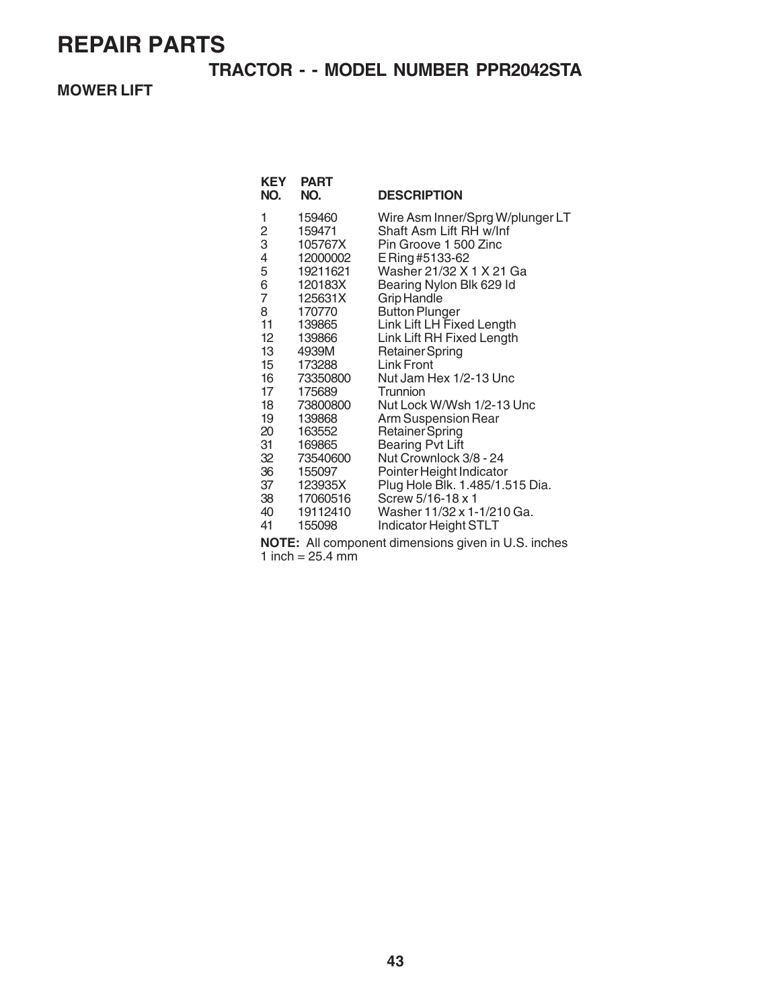### **TRACTOR - - MODEL NUMBER PPR2042STA**

**MOWER LIFT**

| KEY<br>NO.     | <b>PART</b><br>NO. | <b>DESCRIPTION</b>               |
|----------------|--------------------|----------------------------------|
| 1              | 159460             | Wire Asm Inner/Sprg W/plunger LT |
| $\frac{2}{3}$  | 159471             | Shaft Asm Lift RH w/Inf          |
|                | 105767X            | Pin Groove 1 500 Zinc            |
| 4              | 12000002           | E Ring #5133-62                  |
| 5              | 19211621           | Washer 21/32 X 1 X 21 Ga         |
| 6              | 120183X            | Bearing Nylon Blk 629 Id         |
| $\overline{7}$ | 125631X            | <b>Grip Handle</b>               |
| 8              | 170770             | <b>Button Plunger</b>            |
| 11             | 139865             | Link Lift LH Fixed Length        |
| 12             | 139866             | Link Lift RH Fixed Length        |
| 13             | 4939M              | <b>Retainer Spring</b>           |
| 15             | 173288             | Link Front                       |
| 16             | 73350800           | Nut Jam Hex 1/2-13 Unc           |
| 17             | 175689             | Trunnion                         |
| 18             | 73800800           | Nut Lock W/Wsh 1/2-13 Unc        |
| 19             | 139868             | Arm Suspension Rear              |
| 20             | 163552             | <b>Retainer Spring</b>           |
| 31             | 169865             | <b>Bearing Pvt Lift</b>          |
| 32             | 73540600           | Nut Crownlock 3/8 - 24           |
| 36             | 155097             | Pointer Height Indicator         |
| 37             | 123935X            | Plug Hole Blk. 1.485/1.515 Dia.  |
| 38             | 17060516           | Screw 5/16-18 x 1                |
| 40             | 19112410           | Washer 11/32 x 1-1/210 Ga.       |
| 41             | 155098             | Indicator Height STLT            |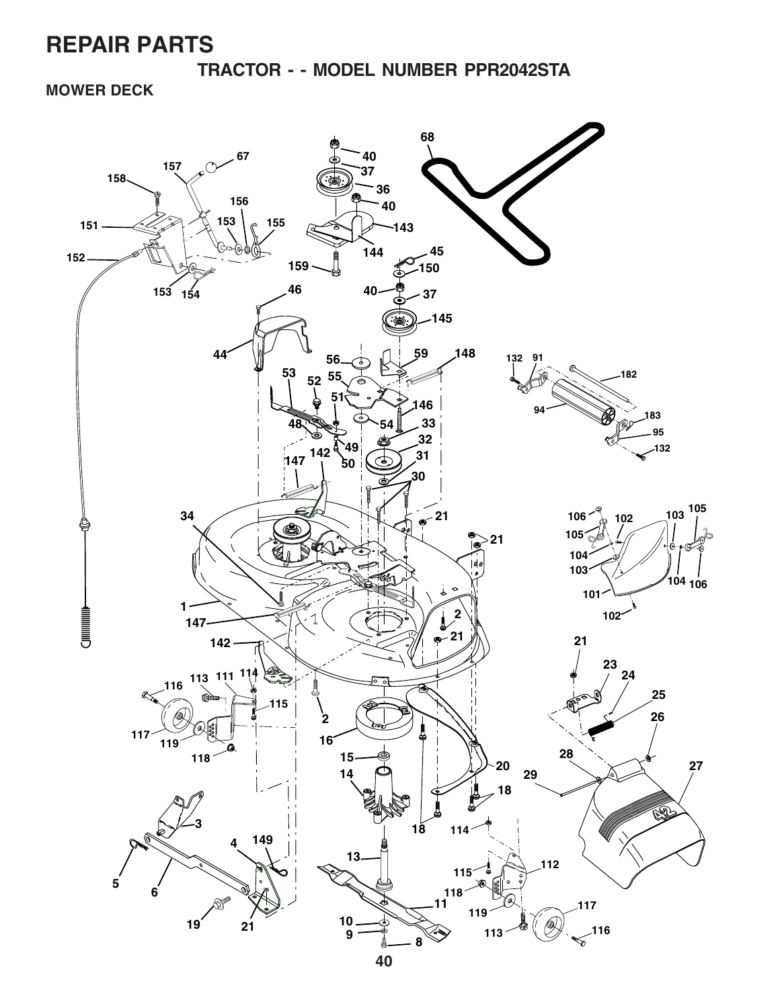**TRACTOR - - MODEL NUMBER PPR2042STA**

**MOWER DECK**

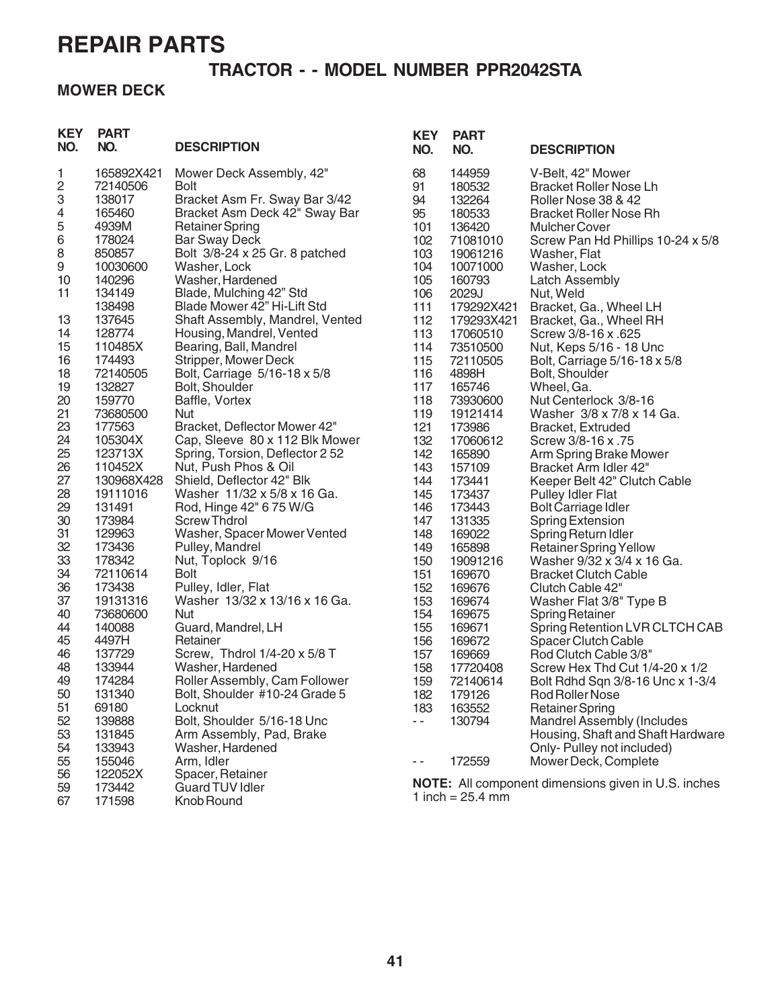### **TRACTOR - - MODEL NUMBER PPR2042STA**

### **MOWER DECK**

| <b>KEY</b><br>NO. | <b>PART</b><br>NO. | <b>DESCRIPTION</b>                          | <b>KEY</b><br>NO. | <b>PART</b><br>NO.  | <b>DESCRIPTION</b>                                         |
|-------------------|--------------------|---------------------------------------------|-------------------|---------------------|------------------------------------------------------------|
| 1                 | 165892X421         | Mower Deck Assembly, 42"                    | 68                | 144959              | V-Belt, 42" Mower                                          |
| 2                 | 72140506           | <b>Bolt</b>                                 | 91                | 180532              | <b>Bracket Roller Nose Lh</b>                              |
| 3                 | 138017             | Bracket Asm Fr. Sway Bar 3/42               | 94                | 132264              | Roller Nose 38 & 42                                        |
| 4                 | 165460             | Bracket Asm Deck 42" Sway Bar               | 95                | 180533              | <b>Bracket Roller Nose Rh</b>                              |
| 5                 | 4939M              | <b>Retainer Spring</b>                      | 101               | 136420              | <b>Mulcher Cover</b>                                       |
| 6                 | 178024             | <b>Bar Sway Deck</b>                        | 102               | 71081010            | Screw Pan Hd Phillips 10-24 x 5/8                          |
| 8                 | 850857             | Bolt 3/8-24 x 25 Gr. 8 patched              | 103               | 19061216            | Washer, Flat                                               |
| 9                 | 10030600           | Washer, Lock                                | 104               | 10071000            | Washer, Lock                                               |
| 10<br>11          | 140296<br>134149   | Washer, Hardened<br>Blade, Mulching 42" Std | 105               | 160793              | <b>Latch Assembly</b>                                      |
|                   | 138498             | Blade Mower 42" Hi-Lift Std                 | 106<br>111        | 2029J<br>179292X421 | Nut, Weld                                                  |
| 13                | 137645             | Shaft Assembly, Mandrel, Vented             | 112               | 179293X421          | Bracket, Ga., Wheel LH<br>Bracket, Ga., Wheel RH           |
| 14                | 128774             | Housing, Mandrel, Vented                    | 113               | 17060510            | Screw 3/8-16 x .625                                        |
| 15                | 110485X            | Bearing, Ball, Mandrel                      | 114               | 73510500            | Nut, Keps 5/16 - 18 Unc                                    |
| 16                | 174493             | Stripper, Mower Deck                        | 115               | 72110505            | Bolt, Carriage 5/16-18 x 5/8                               |
| 18                | 72140505           | Bolt, Carriage 5/16-18 x 5/8                | 116               | 4898H               | Bolt, Shoulder                                             |
| 19                | 132827             | Bolt, Shoulder                              | 117               | 165746              | Wheel, Ga.                                                 |
| 20                | 159770             | Baffle, Vortex                              | 118               | 73930600            | Nut Centerlock 3/8-16                                      |
| 21                | 73680500           | <b>Nut</b>                                  | 119               | 19121414            | Washer 3/8 x 7/8 x 14 Ga.                                  |
| 23                | 177563             | Bracket, Deflector Mower 42"                | 121               | 173986              | Bracket, Extruded                                          |
| 24                | 105304X            | Cap, Sleeve 80 x 112 Blk Mower              | 132               | 17060612            | Screw 3/8-16 x .75                                         |
| 25                | 123713X            | Spring, Torsion, Deflector 2 52             | 142               | 165890              | Arm Spring Brake Mower                                     |
| 26                | 110452X            | Nut, Push Phos & Oil                        | 143               | 157109              | Bracket Arm Idler 42"                                      |
| 27                | 130968X428         | Shield, Deflector 42" Blk                   | 144               | 173441              | Keeper Belt 42" Clutch Cable                               |
| 28                | 19111016           | Washer 11/32 x 5/8 x 16 Ga.                 | 145               | 173437              | <b>Pulley Idler Flat</b>                                   |
| 29                | 131491             | Rod, Hinge 42" 6 75 W/G                     | 146               | 173443              | <b>Bolt Carriage Idler</b>                                 |
| 30                | 173984             | <b>Screw Thdrol</b>                         | 147               | 131335              | <b>Spring Extension</b>                                    |
| 31                | 129963             | Washer, Spacer Mower Vented                 | 148               | 169022              | Spring Return Idler                                        |
| 32                | 173436             | Pulley, Mandrel                             | 149               | 165898              | <b>Retainer Spring Yellow</b>                              |
| 33                | 178342             | Nut, Toplock 9/16                           | 150               | 19091216            | Washer 9/32 x 3/4 x 16 Ga.                                 |
| 34                | 72110614           | <b>Bolt</b>                                 | 151               | 169670              | <b>Bracket Clutch Cable</b>                                |
| 36                | 173438             | Pulley, Idler, Flat                         | 152               | 169676              | Clutch Cable 42"                                           |
| 37<br>40          | 19131316           | Washer 13/32 x 13/16 x 16 Ga.               | 153               | 169674              | Washer Flat 3/8" Type B                                    |
| 44                | 73680600<br>140088 | Nut<br>Guard, Mandrel, LH                   | 154<br>155        | 169675<br>169671    | <b>Spring Retainer</b><br>Spring Retention LVR CLTCH CAB   |
| 45                | 4497H              | Retainer                                    | 156               | 169672              | <b>Spacer Clutch Cable</b>                                 |
| 46                | 137729             | Screw, Thdrol 1/4-20 x 5/8 T                | 157               | 169669              | Rod Clutch Cable 3/8"                                      |
| 48                | 133944             | Washer, Hardened                            | 158               | 17720408            | Screw Hex Thd Cut 1/4-20 x 1/2                             |
| 49                | 174284             | Roller Assembly, Cam Follower               | 159               | 72140614            | Bolt Rdhd Sqn 3/8-16 Unc x 1-3/4                           |
| 50                | 131340             | Bolt, Shoulder #10-24 Grade 5               | 182               | 179126              | Rod Roller Nose                                            |
| 51                | 69180              | Locknut                                     | 183               | 163552              | <b>Retainer Spring</b>                                     |
| 52                | 139888             | Bolt, Shoulder 5/16-18 Unc                  | $-$               | 130794              | <b>Mandrel Assembly (Includes</b>                          |
| 53                | 131845             | Arm Assembly, Pad, Brake                    |                   |                     | Housing, Shaft and Shaft Hardware                          |
| 54                | 133943             | Washer, Hardened                            |                   |                     | Only-Pulley not included)                                  |
| 55                | 155046             | Arm, Idler                                  | - -               | 172559              | Mower Deck, Complete                                       |
| 56                | 122052X            | Spacer, Retainer                            |                   |                     |                                                            |
| 59                | 173442             | <b>Guard TUV Idler</b>                      |                   |                     | <b>NOTE:</b> All component dimensions given in U.S. inches |
| 67                | 171598             | Knob Round                                  |                   | 1 inch = $25.4$ mm  |                                                            |